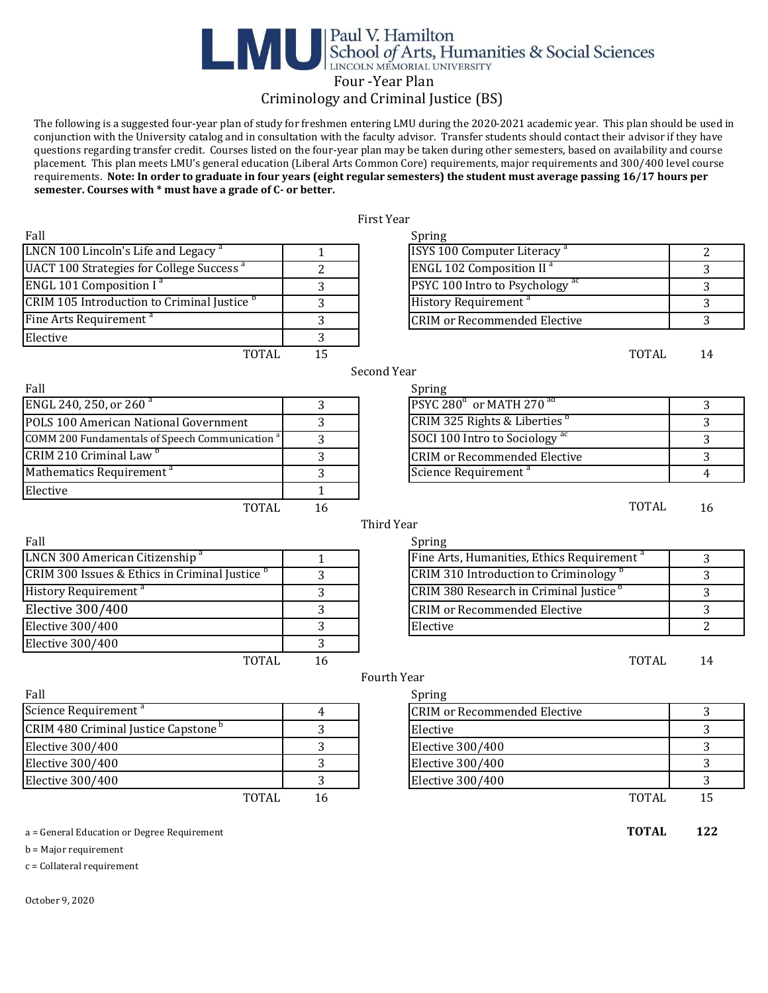# **Expansion School of Arts, Humanities & Social Sciences**<br>Four -Year Plan

### Criminology and Criminal Justice (BS)

 The following is a suggested four-year plan of study for freshmen entering LMU during the 2020-2021 academic year. This plan should be used in conjunction with the University catalog and in consultation with the faculty advisor. Transfer students should contact their advisor if they have questions regarding transfer credit. Courses listed on the four-year plan may be taken during other semesters, based on availability and course placement. This plan meets LMU's general education (Liberal Arts Common Core) requirements, major requirements and 300/400 level course requirements. **Note: In order to graduate in four years (eight regular semesters) the student must average passing 16/17 hours per semester. Courses with \* must have a grade of C- or better.** 

|                                                            |              | First Year                                             |                |
|------------------------------------------------------------|--------------|--------------------------------------------------------|----------------|
| Fall                                                       |              | Spring                                                 |                |
| LNCN 100 Lincoln's Life and Legacy <sup>a</sup>            | 1            | ISYS 100 Computer Literacy <sup>a</sup>                | $\mathbf{2}$   |
| <b>UACT 100 Strategies for College Success<sup>a</sup></b> | 2            | <b>ENGL 102 Composition II<sup>a</sup></b>             | 3              |
| ENGL 101 Composition I <sup>a</sup>                        | 3            | PSYC 100 Intro to Psychology <sup>ac</sup>             | 3              |
| CRIM 105 Introduction to Criminal Justice <sup>b</sup>     | 3            | History Requirement <sup>a</sup>                       | 3              |
| Fine Arts Requirement <sup>a</sup>                         | 3            | <b>CRIM or Recommended Elective</b>                    | 3              |
| Elective                                                   | 3            |                                                        |                |
| <b>TOTAL</b>                                               | 15           | <b>TOTAL</b>                                           | 14             |
|                                                            |              | Second Year                                            |                |
| Fall                                                       |              | Spring                                                 |                |
| ENGL 240, 250, or 260 <sup>a</sup>                         | 3            | PSYC 280 <sup>d</sup> or MATH 270 <sup>ad</sup>        | 3              |
| POLS 100 American National Government                      | 3            | CRIM 325 Rights & Liberties                            | 3              |
| COMM 200 Fundamentals of Speech Communication <sup>a</sup> | 3            | SOCI 100 Intro to Sociology <sup>ac</sup>              | 3              |
| CRIM 210 Criminal Law <sup>b</sup>                         | 3            | <b>CRIM or Recommended Elective</b>                    | 3              |
| Mathematics Requirement <sup>a</sup>                       | 3            | Science Requirement <sup>a</sup>                       | $\overline{4}$ |
| Elective                                                   | $\mathbf{1}$ |                                                        |                |
| <b>TOTAL</b>                                               | 16           | <b>TOTAL</b>                                           | 16             |
|                                                            |              | Third Year                                             |                |
| Fall                                                       |              | Spring                                                 |                |
| LNCN 300 American Citizenship <sup>a</sup>                 | $\mathbf{1}$ | Fine Arts, Humanities, Ethics Requirement <sup>a</sup> | 3              |
| CRIM 300 Issues & Ethics in Criminal Justice <sup>b</sup>  | 3            | CRIM 310 Introduction to Criminology <sup>b</sup>      | 3              |
| History Requirement <sup>a</sup>                           | 3            | CRIM 380 Research in Criminal Justice <sup>b</sup>     | 3              |
| Elective 300/400                                           | 3            | <b>CRIM</b> or Recommended Elective                    | 3              |
| <b>Elective 300/400</b>                                    | 3            | Elective                                               | 2              |
| Elective 300/400                                           | 3            |                                                        |                |
| <b>TOTAL</b>                                               | 16           | <b>TOTAL</b>                                           | 14             |
|                                                            |              | <b>Fourth Year</b>                                     |                |
| Fall                                                       |              | Spring                                                 |                |
| Science Requirement <sup>a</sup>                           | 4            | <b>CRIM or Recommended Elective</b>                    | 3              |
| CRIM 480 Criminal Justice Capstone <sup>b</sup>            | 3            | Elective                                               | 3              |
| <b>Elective 300/400</b>                                    | 3            | <b>Elective 300/400</b>                                | 3              |
| Elective 300/400                                           | 3            | Elective 300/400                                       | 3              |
| Elective 300/400                                           | 3            | Elective 300/400                                       | 3              |
| <b>TOTAL</b>                                               | 16           | <b>TOTAL</b>                                           | 15             |
| a = General Education or Degree Requirement                |              | <b>TOTAL</b>                                           | 122            |
| $b =$ Major requirement                                    |              |                                                        |                |
| $c =$ Collateral requirement                               |              |                                                        |                |
|                                                            |              |                                                        |                |

October 9, 2020